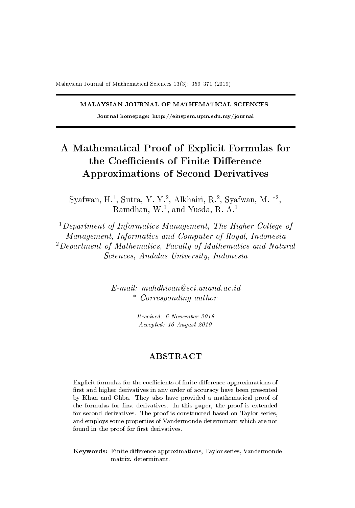#### MALAYSIAN JOURNAL OF MATHEMATICAL SCIENCES

Journal homepage: http://einspem.upm.edu.my/journal

# A Mathematical Proof of Explicit Formulas for the Coefficients of Finite Difference Approximations of Second Derivatives

Syafwan, H.<sup>1</sup>, Sutra, Y. Y.<sup>2</sup>, Alkhairi, R.<sup>2</sup>, Syafwan, M. \*<sup>2</sup>, Ramdhan, W.<sup>1</sup>, and Yusda, R. A.<sup>1</sup>

<sup>1</sup>Department of Informatics Management, The Higher College of Management, Informatics and Computer of Royal, Indonesia  $2$ Department of Mathematics, Faculty of Mathematics and Natural Sciences, Andalas University, Indonesia

> E-mail: mahdhivan@sci.unand.ac.id <sup>∗</sup> Corresponding author

> > Received: 6 November 2018 Accepted: 16 August 2019

### ABSTRACT

Explicit formulas for the coefficients of finite difference approximations of first and higher derivatives in any order of accuracy have been presented by Khan and Ohba. They also have provided a mathematical proof of the formulas for first derivatives. In this paper, the proof is extended for second derivatives. The proof is constructed based on Taylor series, and employs some properties of Vandermonde determinant which are not found in the proof for first derivatives.

Keywords: Finite difference approximations, Taylor series, Vandermonde matrix, determinant.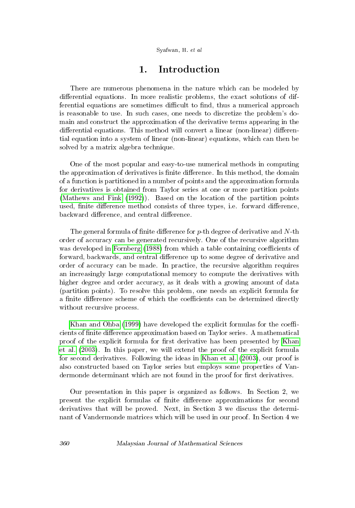### 1. Introduction

There are numerous phenomena in the nature which can be modeled by differential equations. In more realistic problems, the exact solutions of differential equations are sometimes difficult to find, thus a numerical approach is reasonable to use. In such cases, one needs to discretize the problem's domain and construct the approximation of the derivative terms appearing in the differential equations. This method will convert a linear (non-linear) differential equation into a system of linear (non-linear) equations, which can then be solved by a matrix algebra technique.

One of the most popular and easy-to-use numerical methods in computing the approximation of derivatives is finite difference. In this method, the domain of a function is partitioned in a number of points and the approximation formula for derivatives is obtained from Taylor series at one or more partition points [\(Mathews and Fink](#page-11-0) [\(1992\)](#page-11-0)). Based on the location of the partition points used, finite difference method consists of three types, i.e. forward difference, backward difference, and central difference.

The general formula of finite difference for  $p$ -th degree of derivative and  $N$ -th order of accuracy can be generated recursively. One of the recursive algorithm was developed in [Fornberg](#page-11-1) [\(1988\)](#page-11-1) from which a table containing coefficients of forward, backwards, and central difference up to some degree of derivative and order of accuracy can be made. In practice, the recursive algorithm requires an increasingly large computational memory to compute the derivatives with higher degree and order accuracy, as it deals with a growing amount of data (partition points). To resolve this problem, one needs an explicit formula for a finite difference scheme of which the coefficients can be determined directly without recursive process.

[Khan and Ohba](#page-11-2) [\(1999\)](#page-11-2) have developed the explicit formulas for the coefficients of finite difference approximation based on Taylor series. A mathematical proof of the explicit formula for first derivative has been presented by [Khan](#page-11-3) [et al.](#page-11-3) [\(2003\)](#page-11-3). In this paper, we will extend the proof of the explicit formula for second derivatives. Following the ideas in [Khan et al.](#page-11-3) [\(2003\)](#page-11-3), our proof is also constructed based on Taylor series but employs some properties of Vandermonde determinant which are not found in the proof for first derivatives.

Our presentation in this paper is organized as follows. In Section 2, we present the explicit formulas of finite difference approximations for second derivatives that will be proved. Next, in Section 3 we discuss the determinant of Vandermonde matrices which will be used in our proof. In Section 4 we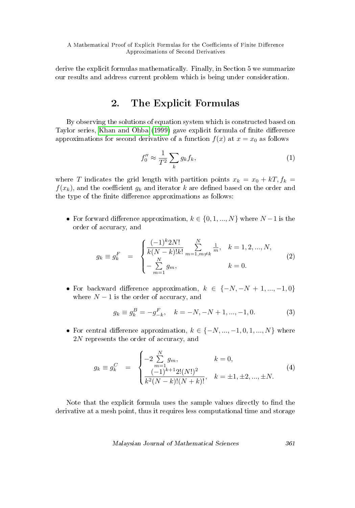derive the explicit formulas mathematically. Finally, in Section 5 we summarize our results and address current problem which is being under consideration.

## 2. The Explicit Formulas

By observing the solutions of equation system which is constructed based on Taylor series, [Khan and Ohba](#page-11-2) [\(1999\)](#page-11-2) gave explicit formula of finite difference approximations for second derivative of a function  $f(x)$  at  $x = x_0$  as follows

$$
f_0'' \approx \frac{1}{T^2} \sum_k g_k f_k,\tag{1}
$$

where T indicates the grid length with partition points  $x_k = x_0 + kT$ ,  $f_k =$  $f(x_k)$ , and the coefficient  $g_k$  and iterator k are defined based on the order and the type of the finite difference approximations as follows:

• For forward difference approximation,  $k \in \{0, 1, ..., N\}$  where  $N-1$  is the order of accuracy, and

<span id="page-2-0"></span>
$$
g_k \equiv g_k^F \quad = \quad \begin{cases} \frac{(-1)^k 2N!}{k(N-k)!k!} \sum_{m=1,m \neq k}^N \frac{1}{m}, & k = 1, 2, ..., N, \\ -\sum_{m=1}^N g_m, & k = 0. \end{cases} \tag{2}
$$

• For backward difference approximation,  $k \in \{-N, -N+1, ..., -1, 0\}$ where  $N-1$  is the order of accuracy, and

<span id="page-2-1"></span>
$$
g_k \equiv g_k^B = -g_{-k}^F, \quad k = -N, -N+1, ..., -1, 0.
$$
 (3)

• For central difference approximation,  $k \in \{-N, ..., -1, 0, 1, ..., N\}$  where 2N represents the order of accuracy, and

<span id="page-2-2"></span>
$$
g_k \equiv g_k^C = \begin{cases} -2\sum_{m=1}^N g_m, & k = 0, \\ \frac{(-1)^{k+1}2!(N!)^2}{k^2(N-k)!(N+k)!}, & k = \pm 1, \pm 2, ..., \pm N. \end{cases}
$$
(4)

Note that the explicit formula uses the sample values directly to find the derivative at a mesh point, thus it requires less computational time and storage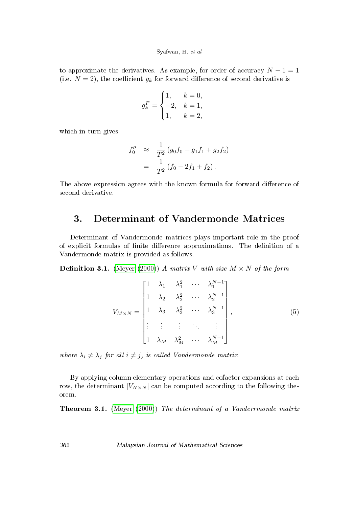to approximate the derivatives. As example, for order of accuracy  $N - 1 = 1$ (i.e.  $N = 2$ ), the coefficient  $q_k$  for forward difference of second derivative is

$$
g_k^F = \begin{cases} 1, & k = 0, \\ -2, & k = 1, \\ 1, & k = 2, \end{cases}
$$

which in turn gives

$$
f_0'' \approx \frac{1}{T^2} (g_0 f_0 + g_1 f_1 + g_2 f_2)
$$
  
= 
$$
\frac{1}{T^2} (f_0 - 2f_1 + f_2).
$$

The above expression agrees with the known formula for forward difference of second derivative.

### 3. Determinant of Vandermonde Matrices

Determinant of Vandermonde matrices plays important role in the proof of explicit formulas of finite difference approximations. The definition of a Vandermonde matrix is provided as follows.

**Definition 3.1.** [\(Meyer](#page-12-0) [\(2000\)](#page-12-0)) A matrix V with size  $M \times N$  of the form

$$
V_{M \times N} = \begin{bmatrix} 1 & \lambda_1 & \lambda_1^2 & \cdots & \lambda_1^{N-1} \\ 1 & \lambda_2 & \lambda_2^2 & \cdots & \lambda_2^{N-1} \\ 1 & \lambda_3 & \lambda_3^2 & \cdots & \lambda_3^{N-1} \\ \vdots & \vdots & \vdots & \ddots & \vdots \\ 1 & \lambda_M & \lambda_M^2 & \cdots & \lambda_M^{N-1} \end{bmatrix},
$$
 (5)

where  $\lambda_i \neq \lambda_j$  for all  $i \neq j$ , is called Vandermonde matrix.

By applying column elementary operations and cofactor expansions at each row, the determinant  $|V_{N\times N}|$  can be computed according to the following theorem.

<span id="page-3-0"></span>Theorem 3.1. [\(Meyer](#page-12-0) [\(2000\)](#page-12-0)) The determinant of a Vanderrmonde matrix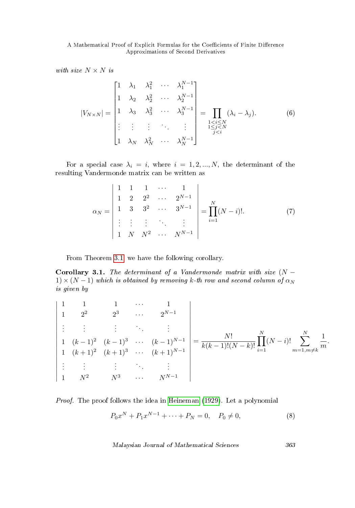with size  $N \times N$  is

$$
|V_{N\times N}| = \begin{bmatrix} 1 & \lambda_1 & \lambda_1^2 & \cdots & \lambda_1^{N-1} \\ 1 & \lambda_2 & \lambda_2^2 & \cdots & \lambda_2^{N-1} \\ 1 & \lambda_3 & \lambda_3^2 & \cdots & \lambda_3^{N-1} \\ \vdots & \vdots & \vdots & \ddots & \vdots \\ 1 & \lambda_N & \lambda_N^2 & \cdots & \lambda_N^{N-1} \end{bmatrix} = \prod_{\substack{1 < i \le N \\ 1 \le j < N \\ j < i}} (\lambda_i - \lambda_j). \tag{6}
$$

For a special case  $\lambda_i = i$ , where  $i = 1, 2, ..., N$ , the determinant of the resulting Vandermonde matrix can be written as

<span id="page-4-1"></span>
$$
\alpha_N = \begin{vmatrix} 1 & 1 & 1 & \cdots & 1 \\ 1 & 2 & 2^2 & \cdots & 2^{N-1} \\ 1 & 3 & 3^2 & \cdots & 3^{N-1} \\ \vdots & \vdots & \vdots & & \vdots \\ 1 & N & N^2 & \cdots & N^{N-1} \end{vmatrix} = \prod_{i=1}^N (N-i)!.
$$
 (7)

From Theorem [3.1,](#page-3-0) we have the following corollary.

<span id="page-4-2"></span>Corollary 3.1. The determinant of a Vandermonde matrix with size  $(N 1) \times (N-1)$  which is obtained by removing k-th row and second column of  $\alpha_N$ is given by

$$
\begin{vmatrix}\n1 & 1 & 1 & \cdots & 1 \\
1 & 2^2 & 2^3 & \cdots & 2^{N-1} \\
\vdots & \vdots & \ddots & \vdots \\
1 & (k-1)^2 & (k-1)^3 & \cdots & (k-1)^{N-1} \\
1 & (k+1)^2 & (k+1)^3 & \cdots & (k+1)^{N-1} \\
\vdots & \vdots & \ddots & \vdots \\
1 & N^2 & N^3 & \cdots & N^{N-1}\n\end{vmatrix} = \frac{N!}{k(k-1)!(N-k)!} \prod_{i=1}^N (N-i)! \sum_{m=1, m \neq k}^N \frac{1}{m}
$$

Proof. The proof follows the idea in [Heineman](#page-11-4) [\(1929\)](#page-11-4). Let a polynomial

<span id="page-4-0"></span>
$$
P_0 x^N + P_1 x^{N-1} + \dots + P_N = 0, \quad P_0 \neq 0,
$$
\n(8)

Malaysian Journal of Mathematical Sciences 363

.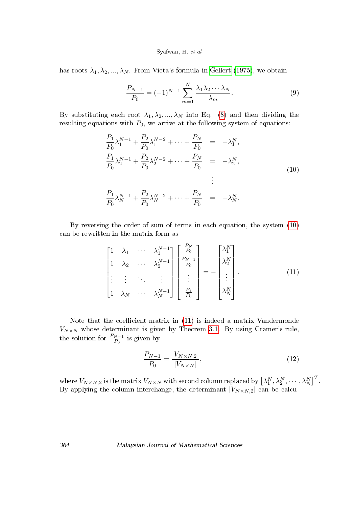#### Syafwan, H. et al

has roots  $\lambda_1, \lambda_2, ..., \lambda_N$ . From Vieta's formula in [Gellert](#page-11-5) [\(1975\)](#page-11-5), we obtain

<span id="page-5-3"></span>
$$
\frac{P_{N-1}}{P_0} = (-1)^{N-1} \sum_{m=1}^{N} \frac{\lambda_1 \lambda_2 \cdots \lambda_N}{\lambda_m}.
$$
 (9)

By substituting each root  $\lambda_1, \lambda_2, ..., \lambda_N$  into Eq. [\(8\)](#page-4-0) and then dividing the resulting equations with  $P_0$ , we arrive at the following system of equations:

<span id="page-5-0"></span>
$$
\frac{P_1}{P_0} \lambda_1^{N-1} + \frac{P_2}{P_0} \lambda_1^{N-2} + \dots + \frac{P_N}{P_0} = -\lambda_1^N,
$$
\n
$$
\frac{P_1}{P_0} \lambda_2^{N-1} + \frac{P_2}{P_0} \lambda_2^{N-2} + \dots + \frac{P_N}{P_0} = -\lambda_2^N,
$$
\n
$$
\vdots
$$
\n
$$
\frac{P_1}{P_0} \lambda_N^{N-1} + \frac{P_2}{P_0} \lambda_N^{N-2} + \dots + \frac{P_N}{P_0} = -\lambda_N^N.
$$
\n(10)

By reversing the order of sum of terms in each equation, the system [\(10\)](#page-5-0) can be rewritten in the matrix form as

<span id="page-5-1"></span>
$$
\begin{bmatrix}\n1 & \lambda_1 & \cdots & \lambda_1^{N-1} \\
1 & \lambda_2 & \cdots & \lambda_2^{N-1} \\
\vdots & \vdots & & \vdots \\
1 & \lambda_N & \cdots & \lambda_N^{N-1}\n\end{bmatrix}\n\begin{bmatrix}\n\frac{P_N}{P_0} \\
\frac{P_{N-1}}{P_0} \\
\vdots \\
\frac{P_1}{P_0}\n\end{bmatrix} = -\n\begin{bmatrix}\n\lambda_1^N \\
\lambda_2^N \\
\vdots \\
\lambda_N^N\n\end{bmatrix}.
$$
\n(11)

Note that the coefficient matrix in  $(11)$  is indeed a matrix Vandermonde  $V_{N\times N}$  whose determinant is given by Theorem [3.1.](#page-3-0) By using Cramer's rule, the solution for  $\frac{P_{N-1}}{P_0}$  is given by

<span id="page-5-2"></span>
$$
\frac{P_{N-1}}{P_0} = \frac{|V_{N \times N,2}|}{|V_{N \times N}|},\tag{12}
$$

where  $V_{N\times N,2}$  is the matrix  $V_{N\times N}$  with second column replaced by  $\begin{bmatrix} \lambda_1^N, \lambda_2^N, \cdots, \lambda_N^N \end{bmatrix}^T$ . By applying the column interchange, the determinant  $|V_{N\times N,2}|$  can be calcu-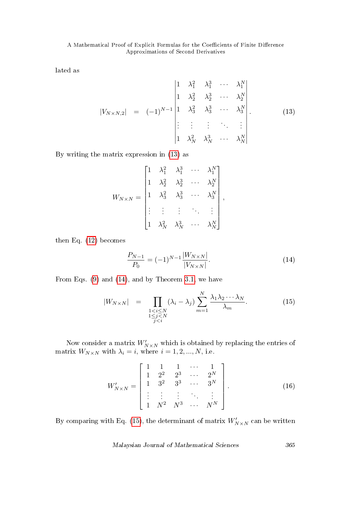lated as

<span id="page-6-0"></span>
$$
|V_{N \times N,2}| = (-1)^{N-1} \begin{vmatrix} 1 & \lambda_1^2 & \lambda_1^3 & \cdots & \lambda_1^N \\ 1 & \lambda_2^2 & \lambda_2^3 & \cdots & \lambda_2^N \\ 1 & \lambda_3^2 & \lambda_3^3 & \cdots & \lambda_3^N \\ \vdots & \vdots & \vdots & \ddots & \vdots \\ 1 & \lambda_N^2 & \lambda_N^3 & \cdots & \lambda_N^N \end{vmatrix} .
$$
 (13)

By writing the matrix expression in [\(13\)](#page-6-0) as

$$
W_{N\times N}=\begin{bmatrix} 1 & \lambda_1^2 & \lambda_1^3 & \cdots & \lambda_1^N \\ & & \lambda_2^2 & \lambda_2^3 & \cdots & \lambda_2^N \\ & & & \lambda_3^2 & \lambda_3^3 & \cdots & \lambda_3^N \\ & & & & \vdots & \ddots & \vdots \\ & & & & \vdots & \ddots & \vdots \\ & & & & & \lambda_N^2 & \lambda_N^2 & \cdots & \lambda_N^N \end{bmatrix},
$$

then Eq. [\(12\)](#page-5-2) becomes

<span id="page-6-1"></span>
$$
\frac{P_{N-1}}{P_0} = (-1)^{N-1} \frac{|W_{N \times N}|}{|V_{N \times N}|}.
$$
\n(14)

From Eqs. [\(9\)](#page-5-3) and [\(14\)](#page-6-1), and by Theorem [3.1,](#page-3-0) we have

<span id="page-6-2"></span>
$$
|W_{N\times N}| = \prod_{\substack{1 < i \le N \\ 1 \le j < N \\ j < i}} (\lambda_i - \lambda_j) \sum_{m=1}^{N} \frac{\lambda_1 \lambda_2 \cdots \lambda_N}{\lambda_m}.\tag{15}
$$

Now consider a matrix  $W_{N \times N}'$  which is obtained by replacing the entries of matrix  $W_{N \times N}$  with  $\lambda_i = i$ , where  $i = 1, 2, ..., N$ , i.e.

$$
W'_{N \times N} = \begin{bmatrix} 1 & 1 & 1 & \cdots & 1 \\ 1 & 2^2 & 2^3 & \cdots & 2^N \\ 1 & 3^2 & 3^3 & \cdots & 3^N \\ \vdots & \vdots & \vdots & \ddots & \vdots \\ 1 & N^2 & N^3 & \cdots & N^N \end{bmatrix} .
$$
 (16)

By comparing with Eq. [\(15\)](#page-6-2), the determinant of matrix  $W_{N\times N}'$  can be written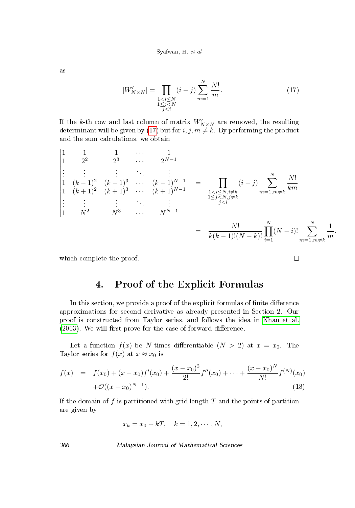as

<span id="page-7-0"></span>
$$
|W'_{N\times N}| = \prod_{\substack{1 < i \le N \\ 1 \le j < N \\ j < i}} (i-j) \sum_{m=1}^{N} \frac{N!}{m}.\tag{17}
$$

If the k-th row and last column of matrix  $W'_{N\times N}$  are removed, the resulting determinant will be given by [\(17\)](#page-7-0) but for  $i, j, m \neq k$ . By performing the product and the sum calculations, we obtain

$$
\begin{vmatrix}\n1 & 1 & 1 & \cdots & 1 \\
1 & 2^2 & 2^3 & \cdots & 2^{N-1} \\
\vdots & \vdots & \ddots & \vdots \\
1 & (k+1)^2 & (k+1)^3 & \cdots & (k+1)^{N-1} \\
\vdots & \vdots & \vdots & \ddots & \vdots \\
1 & N^2 & N^3 & \cdots & N^{N-1}\n\end{vmatrix} = \prod_{\substack{1 < i \le N, i \ne k \\ 1 \le j < N, j \ne k \\ j < i}} (i-j) \sum_{m=1, m \ne k}^{N} \frac{N!}{km}
$$
\n
$$
= \frac{N!}{k(k-1)!(N-k)!} \prod_{i=1}^{N} (N-i)! \sum_{m=1, m \ne k}^{N} \frac{1}{m}.
$$

 $\Box$ 

which complete the proof.

### 4. Proof of the Explicit Formulas

In this section, we provide a proof of the explicit formulas of finite difference approximations for second derivative as already presented in Section 2. Our proof is constructed from Taylor series, and follows the idea in [Khan et al.](#page-11-3)  $(2003)$ . We will first prove for the case of forward difference.

Let a function  $f(x)$  be N-times differentiable  $(N > 2)$  at  $x = x_0$ . The Taylor series for  $f(x)$  at  $x \approx x_0$  is

<span id="page-7-1"></span>
$$
f(x) = f(x_0) + (x - x_0)f'(x_0) + \frac{(x - x_0)^2}{2!}f''(x_0) + \dots + \frac{(x - x_0)^N}{N!}f^{(N)}(x_0) + \mathcal{O}((x - x_0)^{N+1}).
$$
\n(18)

If the domain of f is partitioned with grid length  $T$  and the points of partition are given by

$$
x_k = x_0 + kT, \quad k = 1, 2, \cdots, N,
$$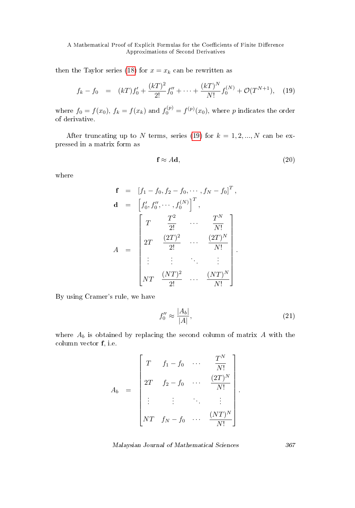then the Taylor series [\(18\)](#page-7-1) for  $x = x_k$  can be rewritten as

<span id="page-8-0"></span>
$$
f_k - f_0 = (kT)f'_0 + \frac{(kT)^2}{2!}f''_0 + \dots + \frac{(kT)^N}{N!}f_0^{(N)} + \mathcal{O}(T^{N+1}), \quad (19)
$$

where  $f_0 = f(x_0)$ ,  $f_k = f(x_k)$  and  $f_0^{(p)} = f^{(p)}(x_0)$ , where p indicates the order of derivative.

After truncating up to N terms, series [\(19\)](#page-8-0) for  $k = 1, 2, ..., N$  can be expressed in a matrix form as

$$
\mathbf{f} \approx A\mathbf{d},\tag{20}
$$

where

$$
\mathbf{f} = [f_1 - f_0, f_2 - f_0, \dots, f_N - f_0]^T,
$$
\n
$$
\mathbf{d} = [f'_0, f''_0, \dots, f_0^{(N)}]^T,
$$
\n
$$
A = \begin{bmatrix} T^2 & \cdots & \frac{T^N}{N!} \\ 2T & \frac{(2T)^2}{2!} & \cdots & \frac{(2T)^N}{N!} \\ \vdots & \vdots & \ddots & \vdots \\ NT & \frac{(NT)^2}{2!} & \cdots & \frac{(NT)^N}{N!} \end{bmatrix}.
$$

By using Cramer's rule, we have

$$
f_0'' \approx \frac{|A_b|}{|A|},\tag{21}
$$

<span id="page-8-1"></span>.

where  $A_b$  is obtained by replacing the second column of matrix  $A$  with the column vector f, i.e.

$$
A_b = \begin{bmatrix} T & f_1 - f_0 & \cdots & \frac{T^N}{N!} \\ 2T & f_2 - f_0 & \cdots & \frac{(2T)^N}{N!} \\ \vdots & \vdots & \ddots & \vdots \\ NT & f_N - f_0 & \cdots & \frac{(NT)^N}{N!} \end{bmatrix}
$$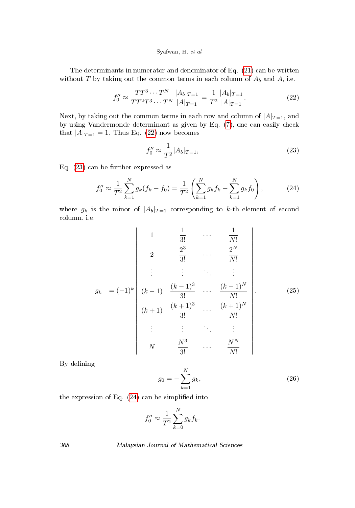#### Syafwan, H. et al

The determinants in numerator and denominator of Eq. [\(21\)](#page-8-1) can be written without T by taking out the common terms in each column of  $A_b$  and  $A$ , i.e.

<span id="page-9-0"></span>
$$
f_0'' \approx \frac{TT^3 \cdots T^N}{TT^2 T^3 \cdots T^N} \frac{|A_b|_{T=1}}{|A|_{T=1}} = \frac{1}{T^2} \frac{|A_b|_{T=1}}{|A|_{T=1}}.
$$
 (22)

Next, by taking out the common terms in each row and column of  $|A|_{T=1}$ , and by using Vandermonde determinant as given by Eq. [\(7\)](#page-4-1), one can easily check that  $|A|_{T=1} = 1$ . Thus Eq. [\(22\)](#page-9-0) now becomes

<span id="page-9-1"></span>
$$
f_0'' \approx \frac{1}{T^2} |A_b|_{T=1},\tag{23}
$$

Eq. [\(23\)](#page-9-1) can be further expressed as

<span id="page-9-2"></span>
$$
f_0'' \approx \frac{1}{T^2} \sum_{k=1}^N g_k (f_k - f_0) = \frac{1}{T^2} \left( \sum_{k=1}^N g_k f_k - \sum_{k=1}^N g_k f_0 \right), \tag{24}
$$

where  $g_k$  is the minor of  $|A_b|_{T=1}$  corresponding to k-th element of second column, i.e.

<span id="page-9-3"></span>
$$
g_{k} = (-1)^{k} \begin{vmatrix} 1 & \frac{1}{3!} & \cdots & \frac{1}{N!} \\ 2 & \frac{2^{3}}{3!} & \cdots & \frac{2^{N}}{N!} \\ \vdots & \vdots & \ddots & \vdots \\ (k-1) & \frac{(k-1)^{3}}{3!} & \cdots & \frac{(k-1)^{N}}{N!} \\ (k+1) & \frac{(k+1)^{3}}{3!} & \cdots & \frac{(k+1)^{N}}{N!} \\ \vdots & \vdots & \ddots & \vdots \\ N & \frac{N^{3}}{3!} & \cdots & \frac{N^{N}}{N!} \end{vmatrix} .
$$
 (25)

By defining

<span id="page-9-4"></span>
$$
g_0 = -\sum_{k=1}^{N} g_k,
$$
\n(26)

the expression of Eq.  $(24)$  can be simplified into

$$
f_0'' \approx \frac{1}{T^2} \sum_{k=0}^{N} g_k f_k.
$$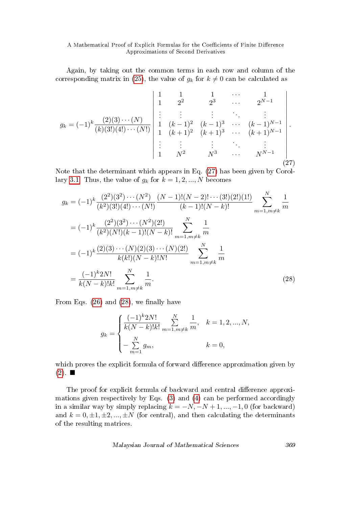Again, by taking out the common terms in each row and column of the corresponding matrix in [\(25\)](#page-9-3), the value of  $g_k$  for  $k \neq 0$  can be calculated as

<span id="page-10-0"></span>
$$
g_k = (-1)^k \frac{(2)(3) \cdots (N)}{(k)(3!)(4!)\cdots (N!)} \begin{vmatrix} 1 & 1 & 1 & \cdots & 1 \\ 1 & 2^2 & 2^3 & \cdots & 2^{N-1} \\ \vdots & \vdots & \vdots & \ddots & \vdots \\ 1 & (k-1)^2 & (k-1)^3 & \cdots & (k-1)^{N-1} \\ 1 & (k+1)^2 & (k+1)^3 & \cdots & (k+1)^{N-1} \\ \vdots & \vdots & \vdots & \ddots & \vdots \\ 1 & N^2 & N^3 & \cdots & N^{N-1} \end{vmatrix} .
$$
\n(27)

Note that the determinant which appears in Eq. [\(27\)](#page-10-0) has been given by Corol-lary [3.1.](#page-4-2) Thus, the value of  $g_k$  for  $k = 1, 2, ..., N$  becomes

$$
g_k = (-1)^k \frac{(2^2)(3^2)\cdots(N^2)}{(k^2)(3!)(4!)\cdots(N!)} \frac{(N-1)!(N-2)!\cdots(3!)(2!)(1!)}{(k-1)!(N-k)!} \sum_{m=1,m\neq k}^N \frac{1}{m}
$$
  
\n
$$
= (-1)^k \frac{(2^2)(3^2)\cdots(N^2)(2!)}{(k^2)(N!)(k-1)!(N-k)!} \sum_{m=1,m\neq k}^N \frac{1}{m}
$$
  
\n
$$
= (-1)^k \frac{(2)(3)\cdots(N)(2)(3)\cdots(N)(2!)}{k(k)!(N-k)!N!} \sum_{m=1,m\neq k}^N \frac{1}{m}
$$
  
\n
$$
= \frac{(-1)^k 2N!}{k(N-k)!k!} \sum_{m=1,m\neq k}^N \frac{1}{m}.
$$
 (28)

From Eqs.  $(26)$  and  $(28)$ , we finally have

$$
g_k = \begin{cases} \frac{(-1)^k 2N!}{k(N-k)!k!} \sum_{m=1,m\neq k}^N \frac{1}{m}, & k = 1,2,...,N, \\ -\sum_{m=1}^N g_m, & k = 0, \end{cases}
$$

which proves the explicit formula of forward difference approximation given by  $(2). \blacksquare$  $(2). \blacksquare$ 

The proof for explicit formula of backward and central difference approximations given respectively by Eqs. [\(3\)](#page-2-1) and [\(4\)](#page-2-2) can be performed accordingly in a similar way by simply replacing  $k = -N, -N+1, ..., -1, 0$  (for backward) and  $k = 0, \pm 1, \pm 2, ..., \pm N$  (for central), and then calculating the determinants of the resulting matrices.

<span id="page-10-1"></span>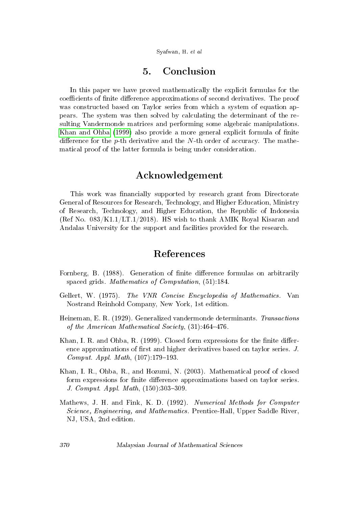Syafwan, H. et al

### 5. Conclusion

In this paper we have proved mathematically the explicit formulas for the coefficients of finite difference approximations of second derivatives. The proof was constructed based on Taylor series from which a system of equation appears. The system was then solved by calculating the determinant of the resulting Vandermonde matrices and performing some algebraic manipulations. [Khan and Ohba](#page-11-2) [\(1999\)](#page-11-2) also provide a more general explicit formula of finite difference for the p-th derivative and the N-th order of accuracy. The mathematical proof of the latter formula is being under consideration.

### Acknowledgement

This work was financially supported by research grant from Directorate General of Resources for Research, Technology, and Higher Education, Ministry of Research, Technology, and Higher Education, the Republic of Indonesia (Ref No. 083/K1.1/LT.1/2018). HS wish to thank AMIK Royal Kisaran and Andalas University for the support and facilities provided for the research.

### References

- <span id="page-11-1"></span>Fornberg, B. (1988). Generation of finite difference formulas on arbitrarily spaced grids. Mathematics of Computation, (51):184.
- <span id="page-11-5"></span>Gellert, W. (1975). The VNR Concise Encyclopedia of Mathematics. Van Nostrand Reinhold Company, New York, 1st edition.
- <span id="page-11-4"></span>Heineman, E. R. (1929). Generalized vandermonde determinants. Transactions of the American Mathematical Society,  $(31)$ :464-476.
- <span id="page-11-2"></span>Khan, I. R. and Ohba, R. (1999). Closed form expressions for the finite difference approximations of first and higher derivatives based on taylor series. J.  $Comput.$  Appl. Math,  $(107):179-193$ .
- <span id="page-11-3"></span>Khan, I. R., Ohba, R., and Hozumi, N. (2003). Mathematical proof of closed form expressions for finite difference approximations based on taylor series. J. Comput. Appl. Math,  $(150):303-309$ .
- <span id="page-11-0"></span>Mathews, J. H. and Fink, K. D. (1992). Numerical Methods for Computer Science, Engineering, and Mathematics. Prentice-Hall, Upper Saddle River, NJ, USA, 2nd edition.